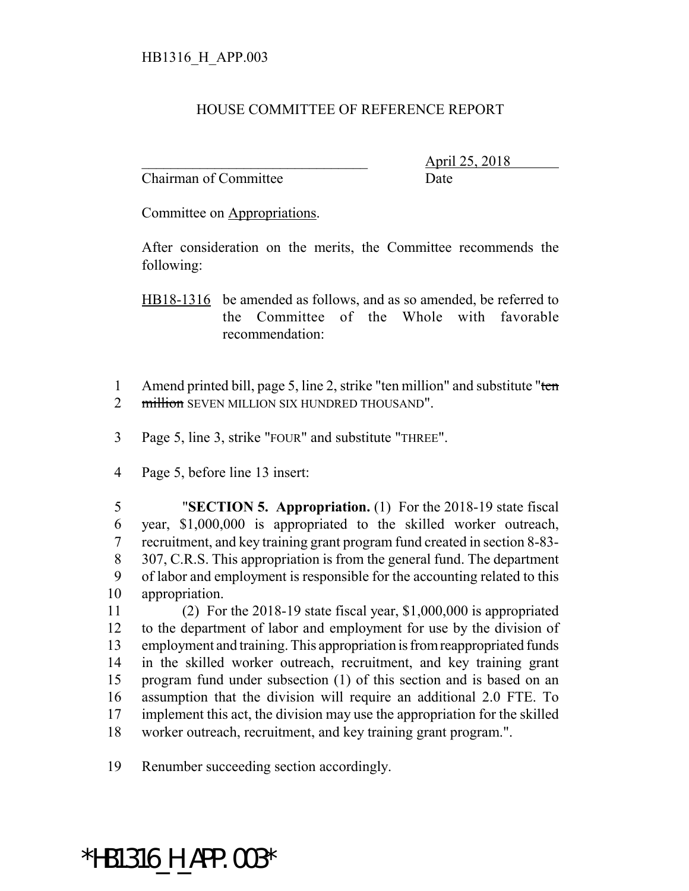## HOUSE COMMITTEE OF REFERENCE REPORT

Chairman of Committee Date

\_\_\_\_\_\_\_\_\_\_\_\_\_\_\_\_\_\_\_\_\_\_\_\_\_\_\_\_\_\_\_ April 25, 2018

Committee on Appropriations.

After consideration on the merits, the Committee recommends the following:

HB18-1316 be amended as follows, and as so amended, be referred to the Committee of the Whole with favorable recommendation:

1 Amend printed bill, page 5, line 2, strike "ten million" and substitute "ten 2 million SEVEN MILLION SIX HUNDRED THOUSAND".

- 3 Page 5, line 3, strike "FOUR" and substitute "THREE".
- 4 Page 5, before line 13 insert:

 "**SECTION 5. Appropriation.** (1) For the 2018-19 state fiscal year, \$1,000,000 is appropriated to the skilled worker outreach, recruitment, and key training grant program fund created in section 8-83- 307, C.R.S. This appropriation is from the general fund. The department of labor and employment is responsible for the accounting related to this appropriation.

 (2) For the 2018-19 state fiscal year, \$1,000,000 is appropriated to the department of labor and employment for use by the division of employment and training. This appropriation is from reappropriated funds in the skilled worker outreach, recruitment, and key training grant program fund under subsection (1) of this section and is based on an assumption that the division will require an additional 2.0 FTE. To implement this act, the division may use the appropriation for the skilled worker outreach, recruitment, and key training grant program.".

19 Renumber succeeding section accordingly.

## \*HB1316\_H\_APP.003\*